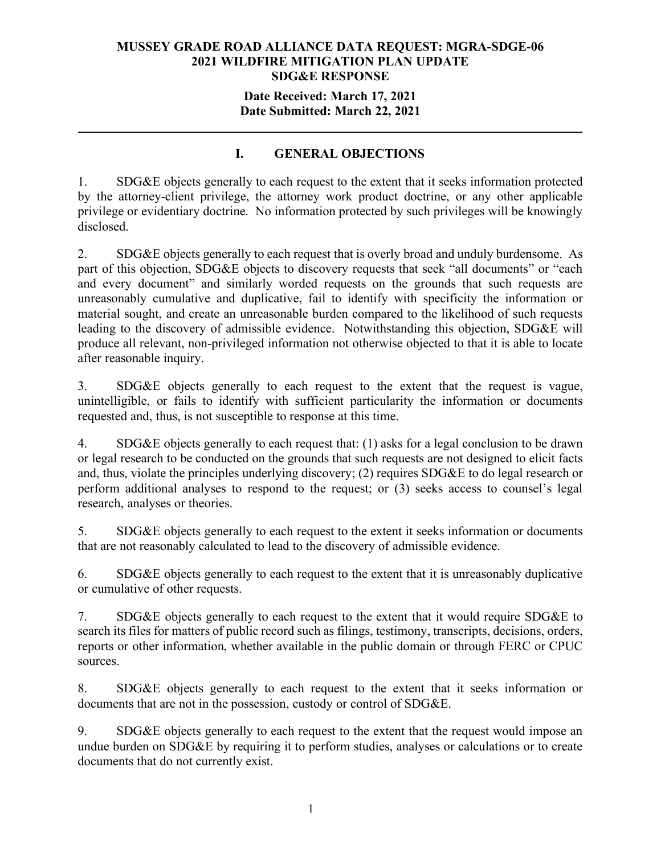## **Date Received: March 17, 2021 Date Submitted: March 22, 2021**

**\_\_\_\_\_\_\_\_\_\_\_\_\_\_\_\_\_\_\_\_\_\_\_\_\_\_\_\_\_\_\_\_\_\_\_\_\_\_\_\_\_\_\_\_\_\_\_\_\_\_\_\_\_\_\_\_\_\_\_\_\_\_\_\_\_\_\_\_\_\_**

## **I. GENERAL OBJECTIONS**

1. SDG&E objects generally to each request to the extent that it seeks information protected by the attorney-client privilege, the attorney work product doctrine, or any other applicable privilege or evidentiary doctrine. No information protected by such privileges will be knowingly disclosed.

2. SDG&E objects generally to each request that is overly broad and unduly burdensome. As part of this objection, SDG&E objects to discovery requests that seek "all documents" or "each and every document" and similarly worded requests on the grounds that such requests are unreasonably cumulative and duplicative, fail to identify with specificity the information or material sought, and create an unreasonable burden compared to the likelihood of such requests leading to the discovery of admissible evidence. Notwithstanding this objection, SDG&E will produce all relevant, non-privileged information not otherwise objected to that it is able to locate after reasonable inquiry.

3. SDG&E objects generally to each request to the extent that the request is vague, unintelligible, or fails to identify with sufficient particularity the information or documents requested and, thus, is not susceptible to response at this time.

4. SDG&E objects generally to each request that: (1) asks for a legal conclusion to be drawn or legal research to be conducted on the grounds that such requests are not designed to elicit facts and, thus, violate the principles underlying discovery; (2) requires SDG&E to do legal research or perform additional analyses to respond to the request; or (3) seeks access to counsel's legal research, analyses or theories.

5. SDG&E objects generally to each request to the extent it seeks information or documents that are not reasonably calculated to lead to the discovery of admissible evidence.

6. SDG&E objects generally to each request to the extent that it is unreasonably duplicative or cumulative of other requests.

7. SDG&E objects generally to each request to the extent that it would require SDG&E to search its files for matters of public record such as filings, testimony, transcripts, decisions, orders, reports or other information, whether available in the public domain or through FERC or CPUC sources.

8. SDG&E objects generally to each request to the extent that it seeks information or documents that are not in the possession, custody or control of SDG&E.

9. SDG&E objects generally to each request to the extent that the request would impose an undue burden on SDG&E by requiring it to perform studies, analyses or calculations or to create documents that do not currently exist.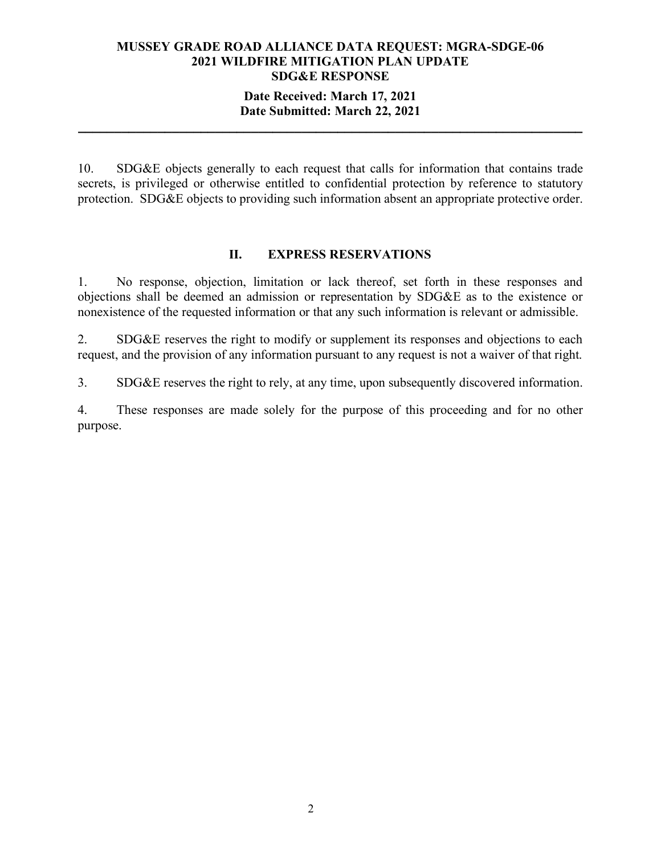## **Date Received: March 17, 2021 Date Submitted: March 22, 2021**

**\_\_\_\_\_\_\_\_\_\_\_\_\_\_\_\_\_\_\_\_\_\_\_\_\_\_\_\_\_\_\_\_\_\_\_\_\_\_\_\_\_\_\_\_\_\_\_\_\_\_\_\_\_\_\_\_\_\_\_\_\_\_\_\_\_\_\_\_\_\_**

10. SDG&E objects generally to each request that calls for information that contains trade secrets, is privileged or otherwise entitled to confidential protection by reference to statutory protection. SDG&E objects to providing such information absent an appropriate protective order.

#### **II. EXPRESS RESERVATIONS**

1. No response, objection, limitation or lack thereof, set forth in these responses and objections shall be deemed an admission or representation by SDG&E as to the existence or nonexistence of the requested information or that any such information is relevant or admissible.

2. SDG&E reserves the right to modify or supplement its responses and objections to each request, and the provision of any information pursuant to any request is not a waiver of that right.

3. SDG&E reserves the right to rely, at any time, upon subsequently discovered information.

4. These responses are made solely for the purpose of this proceeding and for no other purpose.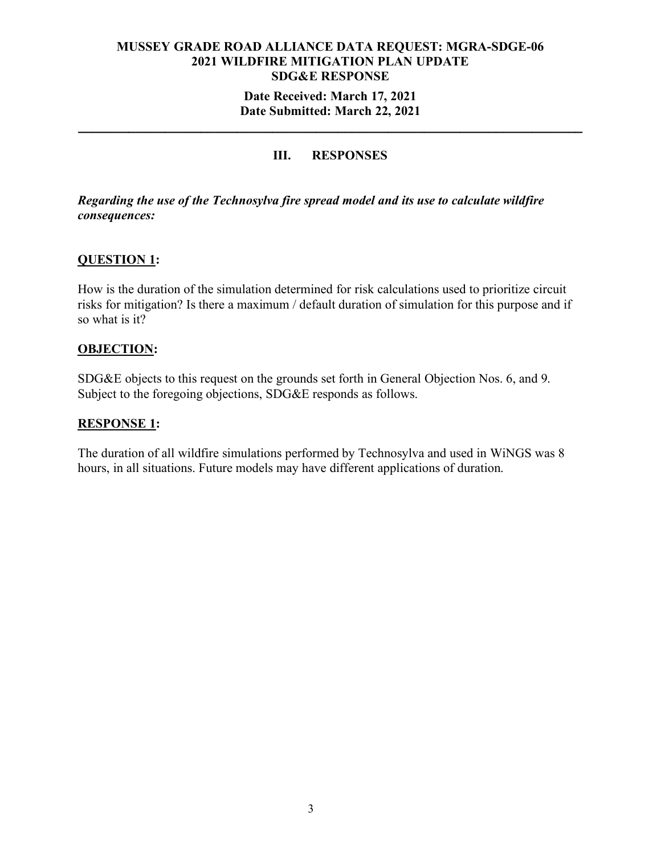## **Date Received: March 17, 2021 Date Submitted: March 22, 2021**

**\_\_\_\_\_\_\_\_\_\_\_\_\_\_\_\_\_\_\_\_\_\_\_\_\_\_\_\_\_\_\_\_\_\_\_\_\_\_\_\_\_\_\_\_\_\_\_\_\_\_\_\_\_\_\_\_\_\_\_\_\_\_\_\_\_\_\_\_\_\_**

## **III. RESPONSES**

*Regarding the use of the Technosylva fire spread model and its use to calculate wildfire consequences:*

## **QUESTION 1:**

How is the duration of the simulation determined for risk calculations used to prioritize circuit risks for mitigation? Is there a maximum / default duration of simulation for this purpose and if so what is it?

#### **OBJECTION:**

SDG&E objects to this request on the grounds set forth in General Objection Nos. 6, and 9. Subject to the foregoing objections, SDG&E responds as follows.

#### **RESPONSE 1:**

The duration of all wildfire simulations performed by Technosylva and used in WiNGS was 8 hours, in all situations. Future models may have different applications of duration.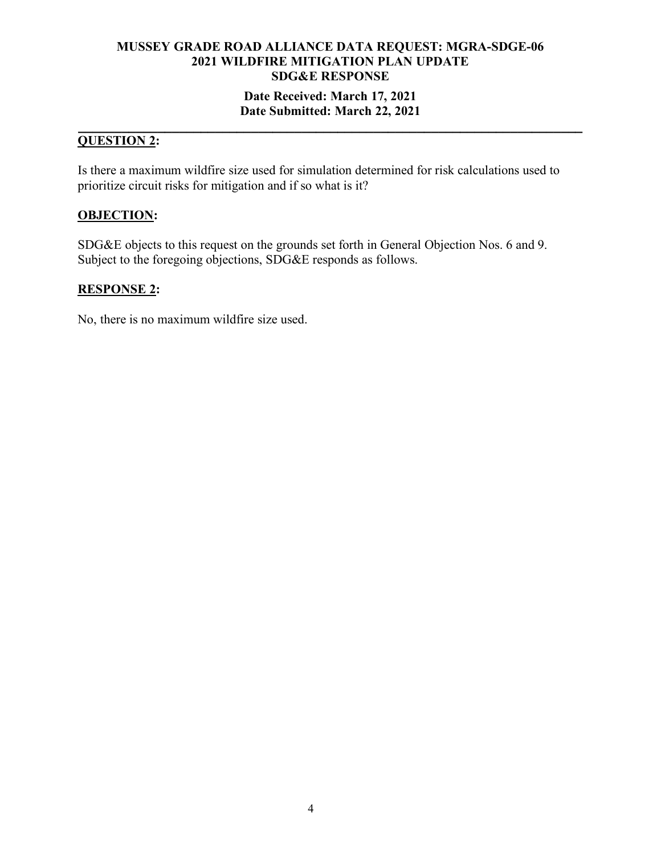## **Date Received: March 17, 2021 Date Submitted: March 22, 2021**

#### **\_\_\_\_\_\_\_\_\_\_\_\_\_\_\_\_\_\_\_\_\_\_\_\_\_\_\_\_\_\_\_\_\_\_\_\_\_\_\_\_\_\_\_\_\_\_\_\_\_\_\_\_\_\_\_\_\_\_\_\_\_\_\_\_\_\_\_\_\_\_ QUESTION 2:**

Is there a maximum wildfire size used for simulation determined for risk calculations used to prioritize circuit risks for mitigation and if so what is it?

## **OBJECTION:**

SDG&E objects to this request on the grounds set forth in General Objection Nos. 6 and 9. Subject to the foregoing objections, SDG&E responds as follows.

## **RESPONSE 2:**

No, there is no maximum wildfire size used.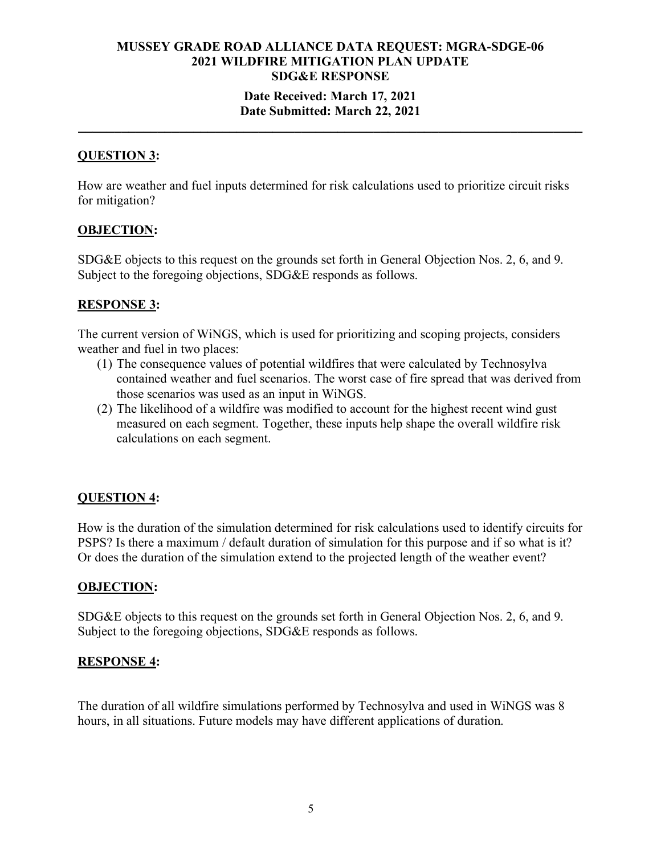#### **Date Received: March 17, 2021 Date Submitted: March 22, 2021**

**\_\_\_\_\_\_\_\_\_\_\_\_\_\_\_\_\_\_\_\_\_\_\_\_\_\_\_\_\_\_\_\_\_\_\_\_\_\_\_\_\_\_\_\_\_\_\_\_\_\_\_\_\_\_\_\_\_\_\_\_\_\_\_\_\_\_\_\_\_\_**

## **QUESTION 3:**

How are weather and fuel inputs determined for risk calculations used to prioritize circuit risks for mitigation?

#### **OBJECTION:**

SDG&E objects to this request on the grounds set forth in General Objection Nos. 2, 6, and 9. Subject to the foregoing objections, SDG&E responds as follows.

#### **RESPONSE 3:**

The current version of WiNGS, which is used for prioritizing and scoping projects, considers weather and fuel in two places:

- (1) The consequence values of potential wildfires that were calculated by Technosylva contained weather and fuel scenarios. The worst case of fire spread that was derived from those scenarios was used as an input in WiNGS.
- (2) The likelihood of a wildfire was modified to account for the highest recent wind gust measured on each segment. Together, these inputs help shape the overall wildfire risk calculations on each segment.

#### **QUESTION 4:**

How is the duration of the simulation determined for risk calculations used to identify circuits for PSPS? Is there a maximum / default duration of simulation for this purpose and if so what is it? Or does the duration of the simulation extend to the projected length of the weather event?

#### **OBJECTION:**

SDG&E objects to this request on the grounds set forth in General Objection Nos. 2, 6, and 9. Subject to the foregoing objections, SDG&E responds as follows.

#### **RESPONSE 4:**

The duration of all wildfire simulations performed by Technosylva and used in WiNGS was 8 hours, in all situations. Future models may have different applications of duration.